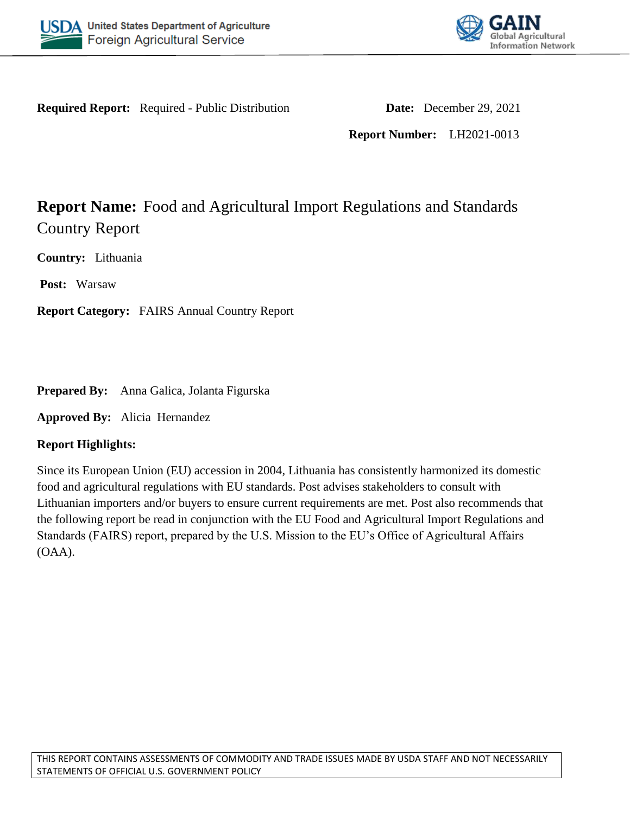



**Required Report:** Required - Public Distribution **Date:** December 29, 2021

**Report Number:** LH2021-0013

# **Report Name:** Food and Agricultural Import Regulations and Standards Country Report

**Country:** Lithuania

**Post:** Warsaw

**Report Category:** FAIRS Annual Country Report

**Prepared By:** Anna Galica, Jolanta Figurska

**Approved By:** Alicia Hernandez

## **Report Highlights:**

Since its European Union (EU) accession in 2004, Lithuania has consistently harmonized its domestic food and agricultural regulations with EU standards. Post advises stakeholders to consult with Lithuanian importers and/or buyers to ensure current requirements are met. Post also recommends that the following report be read in conjunction with the EU Food and Agricultural Import Regulations and Standards (FAIRS) report, prepared by the U.S. Mission to the EU's Office of Agricultural Affairs (OAA).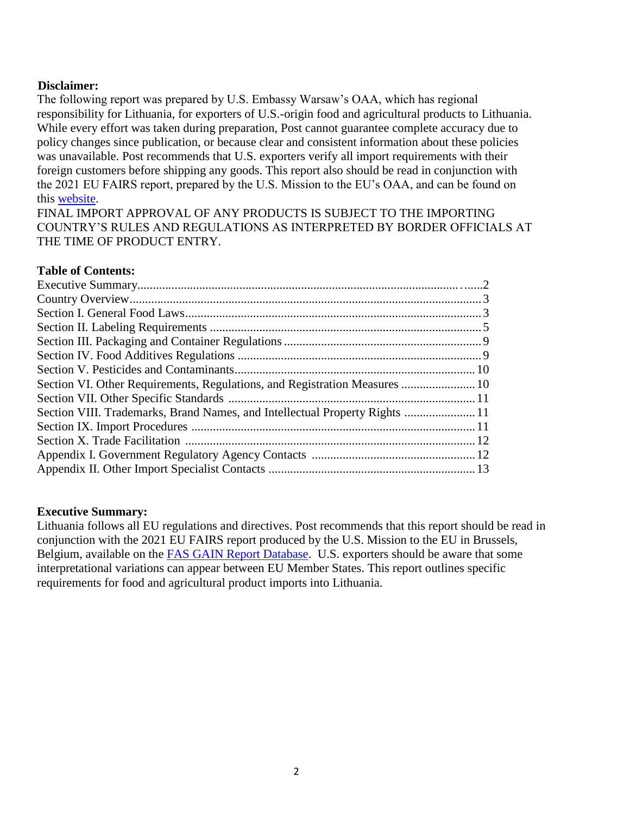## **Disclaimer:**

The following report was prepared by U.S. Embassy Warsaw's OAA, which has regional responsibility for Lithuania, for exporters of U.S.-origin food and agricultural products to Lithuania. While every effort was taken during preparation, Post cannot guarantee complete accuracy due to policy changes since publication, or because clear and consistent information about these policies was unavailable. Post recommends that U.S. exporters verify all import requirements with their foreign customers before shipping any goods. This report also should be read in conjunction with the 2021 EU FAIRS report, prepared by the U.S. Mission to the EU's OAA, and can be found on this [website.](http://www.usda-eu.org/)

FINAL IMPORT APPROVAL OF ANY PRODUCTS IS SUBJECT TO THE IMPORTING COUNTRY'S RULES AND REGULATIONS AS INTERPRETED BY BORDER OFFICIALS AT THE TIME OF PRODUCT ENTRY.

#### **Table of Contents:**

| Section VI. Other Requirements, Regulations, and Registration Measures  10  |  |
|-----------------------------------------------------------------------------|--|
|                                                                             |  |
| Section VIII. Trademarks, Brand Names, and Intellectual Property Rights  11 |  |
|                                                                             |  |
|                                                                             |  |
|                                                                             |  |
|                                                                             |  |

#### **Executive Summary:**

Lithuania follows all EU regulations and directives. Post recommends that this report should be read in conjunction with the 2021 EU FAIRS report produced by the U.S. Mission to the EU in Brussels, Belgium, available on the [FAS GAIN Report Database.](https://gain.fas.usda.gov/#/) U.S. exporters should be aware that some interpretational variations can appear between EU Member States. This report outlines specific requirements for food and agricultural product imports into Lithuania.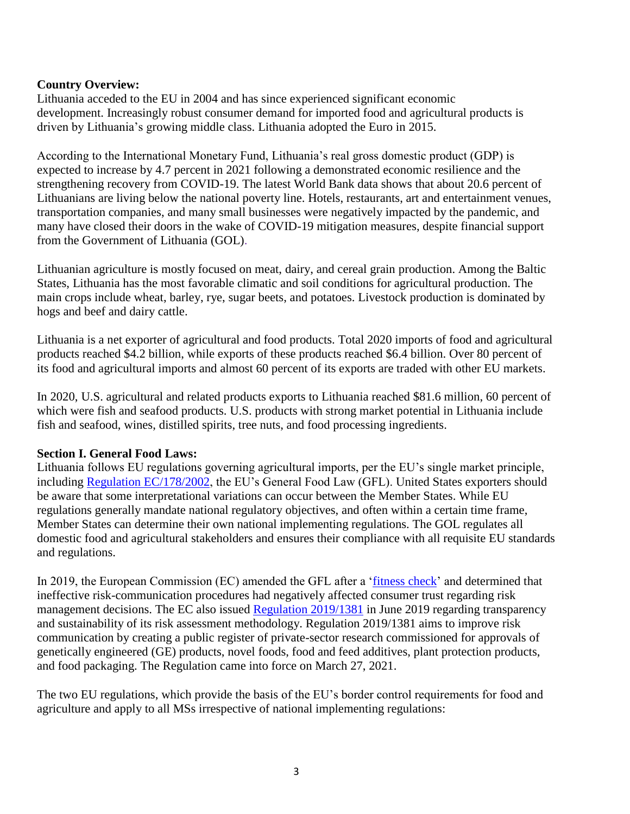## **Country Overview:**

Lithuania acceded to the EU in 2004 and has since experienced significant economic development. Increasingly robust consumer demand for imported food and agricultural products is driven by Lithuania's growing middle class. Lithuania adopted the Euro in 2015.

According to the International Monetary Fund, Lithuania's real gross domestic product (GDP) is expected to increase by 4.7 percent in 2021 following a demonstrated economic resilience and the strengthening recovery from COVID-19. The latest World Bank data shows that about 20.6 percent of Lithuanians are living below the national poverty line. Hotels, restaurants, art and entertainment venues, transportation companies, and many small businesses were negatively impacted by the pandemic, and many have closed their doors in the wake of COVID-19 mitigation measures, despite financial support from the Government of Lithuania (GOL).

Lithuanian agriculture is mostly focused on meat, dairy, and cereal grain production. Among the Baltic States, Lithuania has the most favorable climatic and soil conditions for agricultural production. The main crops include wheat, barley, rye, sugar beets, and potatoes. Livestock production is dominated by hogs and beef and dairy cattle.

Lithuania is a net exporter of agricultural and food products. Total 2020 imports of food and agricultural products reached \$4.2 billion, while exports of these products reached \$6.4 billion. Over 80 percent of its food and agricultural imports and almost 60 percent of its exports are traded with other EU markets.

In 2020, U.S. agricultural and related products exports to Lithuania reached \$81.6 million, 60 percent of which were fish and seafood products. U.S. products with strong market potential in Lithuania include fish and seafood, wines, distilled spirits, tree nuts, and food processing ingredients.

#### **Section I. General Food Laws:**

Lithuania follows EU regulations governing agricultural imports, per the EU's single market principle, including [Regulation EC/178/2002,](https://eur-lex.europa.eu/legal-content/EN/ALL/?uri=celex%3A32002R0178) the EU's General Food Law (GFL). United States exporters should be aware that some interpretational variations can occur between the Member States. While EU regulations generally mandate national regulatory objectives, and often within a certain time frame, Member States can determine their own national implementing regulations. The GOL regulates all domestic food and agricultural stakeholders and ensures their compliance with all requisite EU standards and regulations.

In 2019, the European Commission (EC) amended the GFL after a ['fitness check'](https://ec.europa.eu/food/sites/food/files/gfl_fitc_executive_summary_2018_en.pdf) and determined that ineffective risk-communication procedures had negatively affected consumer trust regarding risk management decisions. The EC also issued [Regulation 2019/1381](https://eur-lex.europa.eu/legal-content/EN/TXT/?uri=uriserv:OJ.L_.2019.231.01.0001.01.ENG&toc=OJ:L:2019:231:TOC) in June 2019 regarding transparency and sustainability of its risk assessment methodology. Regulation 2019/1381 aims to improve risk communication by creating a public register of private-sector research commissioned for approvals of genetically engineered (GE) products, novel foods, food and feed additives, plant protection products, and food packaging. The Regulation came into force on March 27, 2021.

The two EU regulations, which provide the basis of the EU's border control requirements for food and agriculture and apply to all MSs irrespective of national implementing regulations: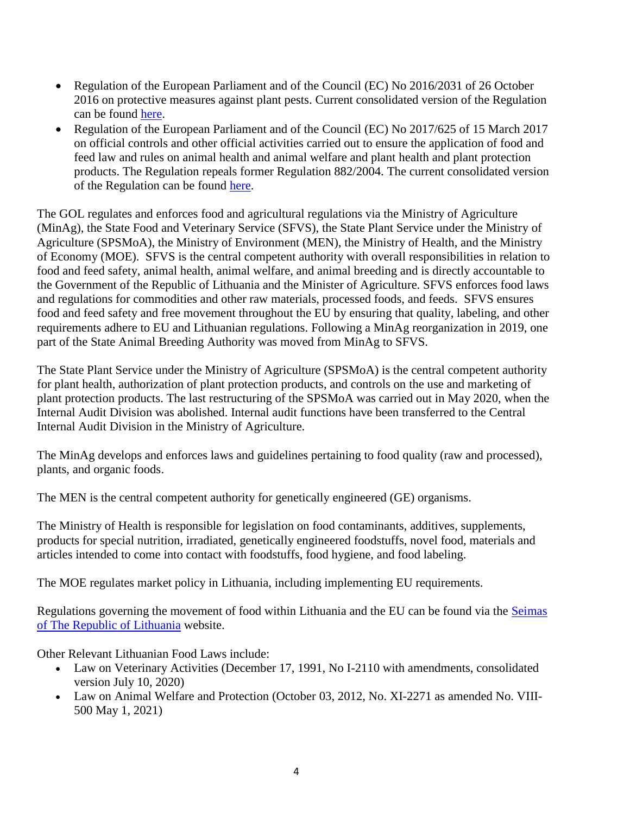- Regulation of the European Parliament and of the Council (EC) No 2016/2031 of 26 October 2016 on protective measures against plant pests. Current consolidated version of the Regulation can be found [here.](https://eur-lex.europa.eu/legal-content/EN/TXT/?uri=CELEX%3A02016R2031-20191214)
- Regulation of the European Parliament and of the Council (EC) No 2017/625 of 15 March 2017 on official controls and other official activities carried out to ensure the application of food and feed law and rules on animal health and animal welfare and plant health and plant protection products. The Regulation repeals former Regulation 882/2004. The current consolidated version of the Regulation can be found [here.](https://eur-lex.europa.eu/legal-content/EN/TXT/?uri=CELEX%3A02017R0625-20191214)

The GOL regulates and enforces food and agricultural regulations via the Ministry of Agriculture (MinAg), the State Food and Veterinary Service (SFVS), the State Plant Service under the Ministry of Agriculture (SPSMoA), the Ministry of Environment (MEN), the Ministry of Health, and the Ministry of Economy (MOE). SFVS is the central competent authority with overall responsibilities in relation to food and feed safety, animal health, animal welfare, and animal breeding and is directly accountable to the Government of the Republic of Lithuania and the Minister of Agriculture. SFVS enforces food laws and regulations for commodities and other raw materials, processed foods, and feeds. SFVS ensures food and feed safety and free movement throughout the EU by ensuring that quality, labeling, and other requirements adhere to EU and Lithuanian regulations. Following a MinAg reorganization in 2019, one part of the State Animal Breeding Authority was moved from MinAg to SFVS.

The State Plant Service under the Ministry of Agriculture (SPSMoA) is the central competent authority for plant health, authorization of plant protection products, and controls on the use and marketing of plant protection products. The last restructuring of the SPSMoA was carried out in May 2020, when the Internal Audit Division was abolished. Internal audit functions have been transferred to the Central Internal Audit Division in the Ministry of Agriculture.

The MinAg develops and enforces laws and guidelines pertaining to food quality (raw and processed), plants, and organic foods.

The MEN is the central competent authority for genetically engineered (GE) organisms.

The Ministry of Health is responsible for legislation on food contaminants, additives, supplements, products for special nutrition, irradiated, genetically engineered foodstuffs, novel food, materials and articles intended to come into contact with foodstuffs, food hygiene, and food labeling.

The MOE regulates market policy in Lithuania, including implementing EU requirements.

Regulations governing the movement of food within Lithuania and the EU can be found via the [Seimas](http://www3.lrs.lt/dokpaieska/forma_e.htm)  [of The Republic of Lithuania](http://www3.lrs.lt/dokpaieska/forma_e.htm) website.

Other Relevant Lithuanian Food Laws include:

- Law on Veterinary Activities (December 17, 1991, No I-2110 with amendments, consolidated version July 10, 2020)
- Law on Animal Welfare and Protection (October 03, 2012, No. XI-2271 as amended No. VIII-500 May 1, 2021)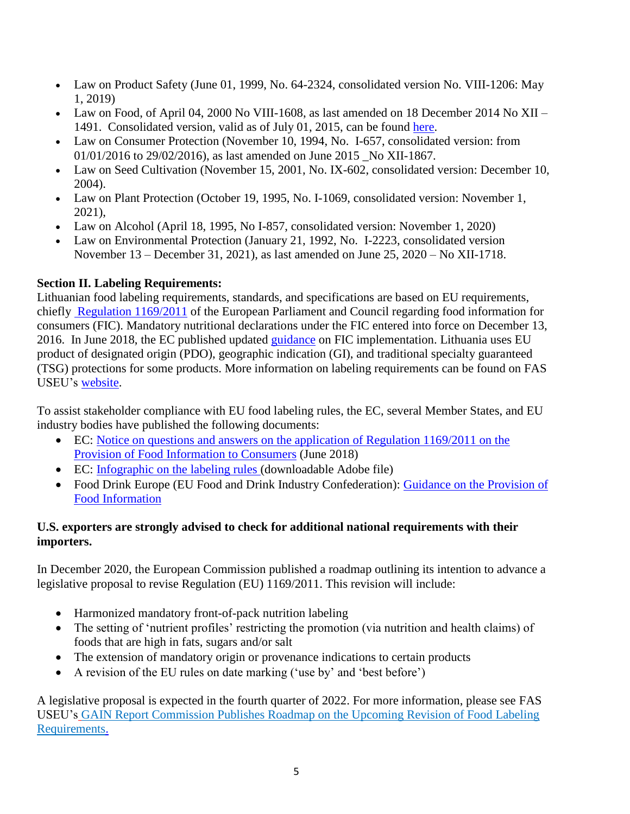- Law on Product Safety (June 01, 1999, No. 64-2324, consolidated version No. VIII-1206: May 1, 2019)
- Law on Food, of April 04, 2000 No VIII-1608, as last amended on 18 December 2014 No XII 1491. Consolidated version, valid as of July 01, 2015, can be found [here.](https://e-seimas.lrs.lt/portal/legalAct/lt/TAD/74505e2018da11e6aa14e8b63147ee94?jfwid=rivwzvpvg)
- Law on Consumer Protection (November 10, 1994, No. I-657, consolidated version: from 01/01/2016 to 29/02/2016), as last amended on June 2015 No XII-1867.
- Law on Seed Cultivation (November 15, 2001, No. IX-602, consolidated version: December 10, 2004).
- Law on Plant Protection (October 19, 1995, No. I-1069, consolidated version: November 1, 2021),
- Law on Alcohol (April 18, 1995, No I-857, consolidated version: November 1, 2020)
- Law on Environmental Protection (January 21, 1992, No. I-2223, consolidated version November 13 – December 31, 2021), as last amended on June 25, 2020 – No XII-1718.

# **Section II. Labeling Requirements:**

Lithuanian food labeling requirements, standards, and specifications are based on EU requirements, chiefly [Regulation 1169/2011](https://eur-lex.europa.eu/legal-content/EN/AUTO/?uri=CELEX:02011R1169-20180101) of the European Parliament and Council regarding food information for consumers (FIC). Mandatory nutritional declarations under the FIC entered into force on December 13, 2016. In June 2018, the EC published updated [guidance](https://eur-lex.europa.eu/legal-content/EN/TXT/?uri=uriserv:OJ.C_.2018.196.01.0001.01.ENG&toc=OJ:C:2018:196:TOC) on FIC implementation. Lithuania uses EU product of designated origin (PDO), geographic indication (GI), and traditional specialty guaranteed (TSG) protections for some products. More information on labeling requirements can be found on FAS USEU's [website.](http://www.usda-eu.org/trade-with-the-eu/eu-import-rules/eu-labeling-requirements/)

To assist stakeholder compliance with EU food labeling rules, the EC, several Member States, and EU industry bodies have published the following documents:

- EC: [Notice on questions and answers on the application of Regulation 1169/2011 on the](https://eur-lex.europa.eu/legal-content/EN/TXT/?uri=uriserv:OJ.C_.2018.196.01.0001.01.ENG&toc=OJ:C:2018:196:TOC)  [Provision of Food Information to Consumers](https://eur-lex.europa.eu/legal-content/EN/TXT/?uri=uriserv:OJ.C_.2018.196.01.0001.01.ENG&toc=OJ:C:2018:196:TOC) (June 2018)
- EC: [Infographic on the labeling rules](https://ec.europa.eu/food/document/download/706ac36a-e4ee-48ad-be40-0a5b315c5b59_en) (downloadable Adobe file)
- Food Drink Europe (EU Food and Drink Industry Confederation): Guidance on the Provision of [Food Information](https://www.fooddrinkeurope.eu/resource/guidance-on-the-provision-of-food-information-to-consumers/)

## **U.S. exporters are strongly advised to check for additional national requirements with their importers.**

In December 2020, the European Commission published a roadmap outlining its intention to advance a legislative proposal to revise Regulation (EU) 1169/2011. This revision will include:

- Harmonized mandatory front-of-pack nutrition labeling
- The setting of 'nutrient profiles' restricting the promotion (via nutrition and health claims) of foods that are high in fats, sugars and/or salt
- The extension of mandatory origin or provenance indications to certain products
- A revision of the EU rules on date marking ('use by' and 'best before')

A legislative proposal is expected in the fourth quarter of 2022. For more information, please see FAS USEU's [GAIN Report Commission Publishes Roadmap on the Upcoming Revision of Food Labeling](https://www.fas.usda.gov/data/european-union-commission-publishes-roadmap-upcoming-revision-food-labeling-requirements)  [Requirements.](https://www.fas.usda.gov/data/european-union-commission-publishes-roadmap-upcoming-revision-food-labeling-requirements)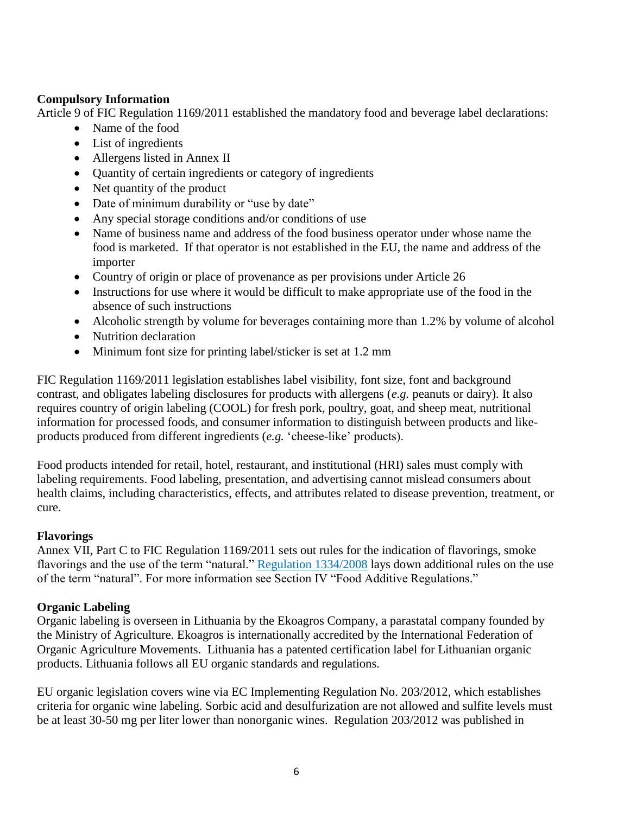## **Compulsory Information**

Article 9 of FIC Regulation 1169/2011 established the mandatory food and beverage label declarations:

- Name of the food
- List of ingredients
- Allergens listed in Annex II
- Quantity of certain ingredients or category of ingredients
- Net quantity of the product
- Date of minimum durability or "use by date"
- Any special storage conditions and/or conditions of use
- Name of business name and address of the food business operator under whose name the food is marketed. If that operator is not established in the EU, the name and address of the importer
- Country of origin or place of provenance as per provisions under Article 26
- Instructions for use where it would be difficult to make appropriate use of the food in the absence of such instructions
- Alcoholic strength by volume for beverages containing more than 1.2% by volume of alcohol
- Nutrition declaration
- Minimum font size for printing label/sticker is set at 1.2 mm

FIC Regulation 1169/2011 legislation establishes label visibility, font size, font and background contrast, and obligates labeling disclosures for products with allergens (*e.g.* peanuts or dairy). It also requires country of origin labeling (COOL) for fresh pork, poultry, goat, and sheep meat, nutritional information for processed foods, and consumer information to distinguish between products and likeproducts produced from different ingredients (*e.g.* 'cheese-like' products).

Food products intended for retail, hotel, restaurant, and institutional (HRI) sales must comply with labeling requirements. Food labeling, presentation, and advertising cannot mislead consumers about health claims, including characteristics, effects, and attributes related to disease prevention, treatment, or cure.

## **Flavorings**

Annex VII, Part C to FIC Regulation 1169/2011 sets out rules for the indication of flavorings, smoke flavorings and the use of the term "natural." [Regulation 1334/2008](https://eur-lex.europa.eu/legal-content/EN/TXT/?uri=CELEX%3A02008R1334-20201203) lays down additional rules on the use of the term "natural". For more information see Section IV "Food Additive Regulations."

## **Organic Labeling**

Organic labeling is overseen in Lithuania by the Ekoagros Company, a parastatal company founded by the Ministry of Agriculture. Ekoagros is internationally accredited by the International Federation of Organic Agriculture Movements. Lithuania has a patented certification label for Lithuanian organic products. Lithuania follows all EU organic standards and regulations.

EU organic legislation covers wine via EC Implementing Regulation No. 203/2012, which establishes criteria for organic wine labeling. Sorbic acid and desulfurization are not allowed and sulfite levels must be at least 30-50 mg per liter lower than nonorganic wines. Regulation 203/2012 was published in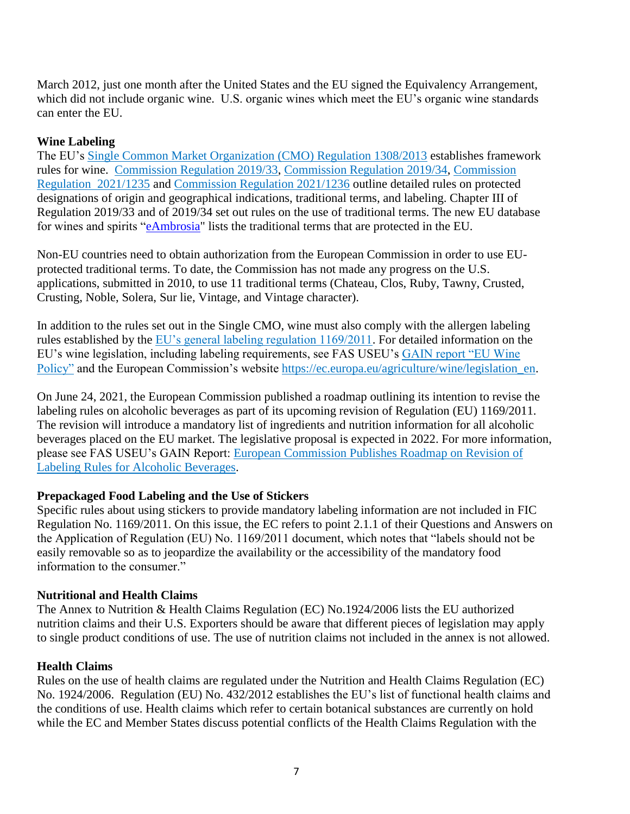March 2012, just one month after the United States and the EU signed the Equivalency Arrangement, which did not include organic wine. U.S. organic wines which meet the EU's organic wine standards can enter the EU.

## **Wine Labeling**

The EU's [Single Common Market Organization \(CMO\) Regulation 1308/2013](https://eur-lex.europa.eu/legal-content/EN/TXT/?uri=CELEX%3A02013R1308-20201229) establishes framework rules for wine. [Commission Regulation 2019/33,](https://eur-lex.europa.eu/legal-content/en/TXT/?uri=CELEX:32019R0033) [Commission Regulation 2019/34,](https://eur-lex.europa.eu/legal-content/EN/ALL/?uri=CELEX:32019R0034) [Commission](https://eur-lex.europa.eu/legal-content/EN/TXT/?uri=uriserv%3AOJ.L_.2021.270.01.0001.01.ENG&toc=OJ%3AL%3A2021%3A270%3ATOC)  [Regulation 2021/1235](https://eur-lex.europa.eu/legal-content/EN/TXT/?uri=uriserv%3AOJ.L_.2021.270.01.0001.01.ENG&toc=OJ%3AL%3A2021%3A270%3ATOC) and [Commission Regulation 2021/1236](https://eur-lex.europa.eu/legal-content/EN/TXT/?uri=uriserv%3AOJ.L_.2021.270.01.0010.01.ENG&toc=OJ%3AL%3A2021%3A270%3ATOC) outline detailed rules on protected designations of origin and geographical indications, traditional terms, and labeling. Chapter III of Regulation 2019/33 and of 2019/34 set out rules on the use of traditional terms. The new EU database for wines and spirits ["eAmbrosia"](https://ec.europa.eu/info/food-farming-fisheries/food-safety-and-quality/certification/quality-labels/geographical-indications-register/) lists the traditional terms that are protected in the EU.

Non-EU countries need to obtain authorization from the European Commission in order to use EUprotected traditional terms. To date, the Commission has not made any progress on the U.S. applications, submitted in 2010, to use 11 traditional terms (Chateau, Clos, Ruby, Tawny, Crusted, Crusting, Noble, Solera, Sur lie, Vintage, and Vintage character).

In addition to the rules set out in the Single CMO, wine must also comply with the allergen labeling rules established by the [EU's general labeling regulation 1169/2011.](https://eur-lex.europa.eu/legal-content/EN/AUTO/?uri=CELEX:02011R1169-20180101&qid=1539686101287) For detailed information on the EU's wine legislation, including labeling requirements, see FAS USEU's [GAIN report "EU Wine](https://www.fas.usda.gov/data/eu-28-eu-wine-policy-report)  [Policy"](https://www.fas.usda.gov/data/eu-28-eu-wine-policy-report) and the European Commission's website [https://ec.europa.eu/agriculture/wine/legislation\\_en.](https://ec.europa.eu/agriculture/wine/legislation_en)

On June 24, 2021, the European Commission published a roadmap outlining its intention to revise the labeling rules on alcoholic beverages as part of its upcoming revision of Regulation (EU) 1169/2011. The revision will introduce a mandatory list of ingredients and nutrition information for all alcoholic beverages placed on the EU market. The legislative proposal is expected in 2022. For more information, please see FAS USEU's GAIN Report: [European Commission Publishes Roadmap on Revision of](https://apps.fas.usda.gov/newgainapi/api/Report/DownloadReportByFileName?fileName=European%20Commission%20Publishes%20Roadmap%20on%20Revision%20of%20Labeling%20Rules%20for%20Alcoholic%20Beverages%20_Brussels%20USEU_European%20Union_07-01-2021)  [Labeling Rules for Alcoholic Beverages.](https://apps.fas.usda.gov/newgainapi/api/Report/DownloadReportByFileName?fileName=European%20Commission%20Publishes%20Roadmap%20on%20Revision%20of%20Labeling%20Rules%20for%20Alcoholic%20Beverages%20_Brussels%20USEU_European%20Union_07-01-2021)

## **Prepackaged Food Labeling and the Use of Stickers**

Specific rules about using stickers to provide mandatory labeling information are not included in FIC Regulation No. 1169/2011. On this issue, the EC refers to point 2.1.1 of their Questions and Answers on the Application of Regulation (EU) No. 1169/2011 document, which notes that "labels should not be easily removable so as to jeopardize the availability or the accessibility of the mandatory food information to the consumer."

#### **Nutritional and Health Claims**

The Annex to Nutrition & Health Claims Regulation (EC) No.1924/2006 lists the EU authorized nutrition claims and their U.S. Exporters should be aware that different pieces of legislation may apply to single product conditions of use. The use of nutrition claims not included in the annex is not allowed.

#### **Health Claims**

Rules on the use of health claims are regulated under the Nutrition and Health Claims Regulation (EC) No. 1924/2006. Regulation (EU) No. 432/2012 establishes the EU's list of functional health claims and the conditions of use. Health claims which refer to certain botanical substances are currently on hold while the EC and Member States discuss potential conflicts of the Health Claims Regulation with the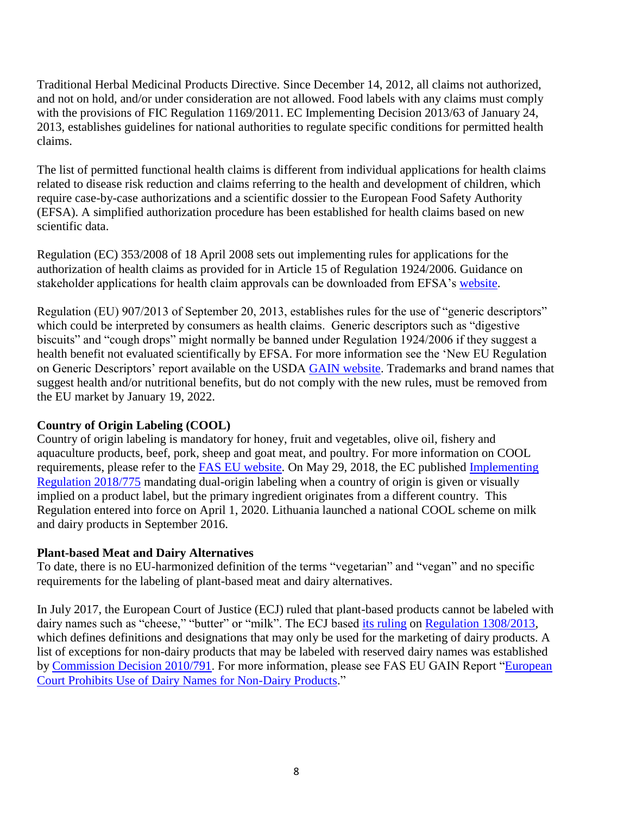Traditional Herbal Medicinal Products Directive. Since December 14, 2012, all claims not authorized, and not on hold, and/or under consideration are not allowed. Food labels with any claims must comply with the provisions of FIC Regulation 1169/2011. EC Implementing Decision 2013/63 of January 24, 2013, establishes guidelines for national authorities to regulate specific conditions for permitted health claims.

The list of permitted functional health claims is different from individual applications for health claims related to disease risk reduction and claims referring to the health and development of children, which require case-by-case authorizations and a scientific dossier to the European Food Safety Authority (EFSA). A simplified authorization procedure has been established for health claims based on new scientific data.

Regulation (EC) 353/2008 of 18 April 2008 sets out implementing rules for applications for the authorization of health claims as provided for in Article 15 of Regulation 1924/2006. Guidance on stakeholder applications for health claim approvals can be downloaded from EFSA's [website.](http://www.efsa.europa.eu/)

Regulation (EU) 907/2013 of September 20, 2013, establishes rules for the use of "generic descriptors" which could be interpreted by consumers as health claims. Generic descriptors such as "digestive biscuits" and "cough drops" might normally be banned under Regulation 1924/2006 if they suggest a health benefit not evaluated scientifically by EFSA. For more information see the 'New EU Regulation on Generic Descriptors' report available on the USDA [GAIN website.](https://gain.fas.usda.gov/#/) Trademarks and brand names that suggest health and/or nutritional benefits, but do not comply with the new rules, must be removed from the EU market by January 19, 2022.

#### **Country of Origin Labeling (COOL)**

Country of origin labeling is mandatory for honey, fruit and vegetables, olive oil, fishery and aquaculture products, beef, pork, sheep and goat meat, and poultry. For more information on COOL requirements, please refer to the [FAS EU website.](http://www.usda-eu.org/trade-with-the-eu/eu-import-rules/eu-labeling-requirements/country-of-origin-labeling/) On May 29, 2018, the EC published Implementing [Regulation 2018/775](https://eur-lex.europa.eu/legal-content/en/TXT/?uri=CELEX:32018R0775) mandating dual-origin labeling when a country of origin is given or visually implied on a product label, but the primary ingredient originates from a different country. This Regulation entered into force on April 1, 2020. Lithuania launched a national COOL scheme on milk and dairy products in September 2016.

#### **Plant-based Meat and Dairy Alternatives**

To date, there is no EU-harmonized definition of the terms "vegetarian" and "vegan" and no specific requirements for the labeling of plant-based meat and dairy alternatives.

In July 2017, the European Court of Justice (ECJ) ruled that plant-based products cannot be labeled with dairy names such as "cheese," "butter" or "milk". The ECJ based [its ruling](http://curia.europa.eu/juris/document/document.jsf;jsessionid=9ea7d2dc30d6580764c075a341ce995196ca04257b75.e34KaxiLc3qMb40Rch0SaxyMahr0?text=&docid=191704&pageIndex=0&doclang=EN&mode=lst&dir=&occ=first&part=1&cid=509472) on [Regulation 1308/2013,](http://eur-lex.europa.eu/legal-content/EN/TXT/PDF/?uri=CELEX:02013R1308-20160731&qid=1498736735601&from=EN) which defines definitions and designations that may only be used for the marketing of dairy products. A list of exceptions for non-dairy products that may be labeled with reserved dairy names was established by [Commission Decision 2010/791.](http://eur-lex.europa.eu/legal-content/EN/TXT/PDF/?uri=CELEX:32010D0791&rid=2) For more information, please see FAS EU GAIN Report ["European](https://gain.fas.usda.gov/Recent%20GAIN%20Publications/European%20Court%20Prohibits%20Use%20of%20Dairy%20Names%20for%20Non-Dairy%20Products_Brussels%20USEU_EU-28_7-11-2017.pdf)  [Court Prohibits Use of Dairy Names for Non-Dairy Products.](https://gain.fas.usda.gov/Recent%20GAIN%20Publications/European%20Court%20Prohibits%20Use%20of%20Dairy%20Names%20for%20Non-Dairy%20Products_Brussels%20USEU_EU-28_7-11-2017.pdf)"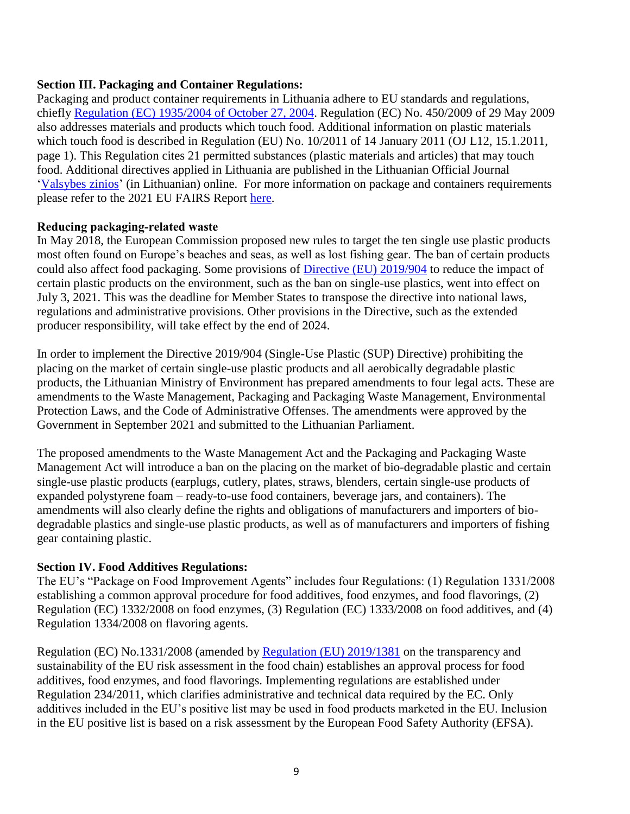## **Section III. Packaging and Container Regulations:**

Packaging and product container requirements in Lithuania adhere to EU standards and regulations, chiefly [Regulation \(EC\) 1935/2004 of October 27, 2004.](https://eur-lex.europa.eu/legal-content/EN/ALL/?uri=CELEX%3A32004R1935) Regulation (EC) No. 450/2009 of 29 May 2009 also addresses materials and products which touch food. Additional information on plastic materials which touch food is described in Regulation (EU) No. 10/2011 of 14 January 2011 (OJ L12, 15.1.2011, page 1). This Regulation cites 21 permitted substances (plastic materials and articles) that may touch food. Additional directives applied in Lithuania are published in the Lithuanian Official Journal ['Valsybes zinios'](http://www3.lrs.lt/dokpaieska/forma_l.htm) (in Lithuanian) online. For more information on package and containers requirements please refer to the 2021 EU FAIRS Report [here.](http://www.usda-eu.org/trade-with-the-eu/eu-import-rules/fairs-reports/)

#### **Reducing packaging‐related waste**

In May 2018, the European Commission proposed new rules to target the ten single use plastic products most often found on Europe's beaches and seas, as well as lost fishing gear. The ban of certain products could also affect food packaging. Some provisions of *Directive (EU) 2019/904* to reduce the impact of certain plastic products on the environment, such as the ban on single-use plastics, went into effect on July 3, 2021. This was the deadline for Member States to transpose the directive into national laws, regulations and administrative provisions. Other provisions in the Directive, such as the extended producer responsibility, will take effect by the end of 2024.

In order to implement the Directive 2019/904 (Single-Use Plastic (SUP) Directive) prohibiting the placing on the market of certain single-use plastic products and all aerobically degradable plastic products, the Lithuanian Ministry of Environment has prepared amendments to four legal acts. These are amendments to the Waste Management, Packaging and Packaging Waste Management, Environmental Protection Laws, and the Code of Administrative Offenses. The amendments were approved by the Government in September 2021 and submitted to the Lithuanian Parliament.

The proposed amendments to the Waste Management Act and the Packaging and Packaging Waste Management Act will introduce a ban on the placing on the market of bio-degradable plastic and certain single-use plastic products (earplugs, cutlery, plates, straws, blenders, certain single-use products of expanded polystyrene foam – ready-to-use food containers, beverage jars, and containers). The amendments will also clearly define the rights and obligations of manufacturers and importers of biodegradable plastics and single-use plastic products, as well as of manufacturers and importers of fishing gear containing plastic.

#### **Section IV. Food Additives Regulations:**

The EU's "Package on Food Improvement Agents" includes four Regulations: (1) Regulation 1331/2008 establishing a common approval procedure for food additives, food enzymes, and food flavorings, (2) Regulation (EC) 1332/2008 on food enzymes, (3) Regulation (EC) 1333/2008 on food additives, and (4) Regulation 1334/2008 on flavoring agents.

Regulation (EC) No.1331/2008 (amended by [Regulation \(EU\) 2019/1381](https://eur-lex.europa.eu/legal-content/EN/TXT/?uri=CELEX:32019R1381) on the transparency and sustainability of the EU risk assessment in the food chain) establishes an approval process for food additives, food enzymes, and food flavorings. Implementing regulations are established under Regulation 234/2011, which clarifies administrative and technical data required by the EC. Only additives included in the EU's positive list may be used in food products marketed in the EU. Inclusion in the EU positive list is based on a risk assessment by the European Food Safety Authority (EFSA).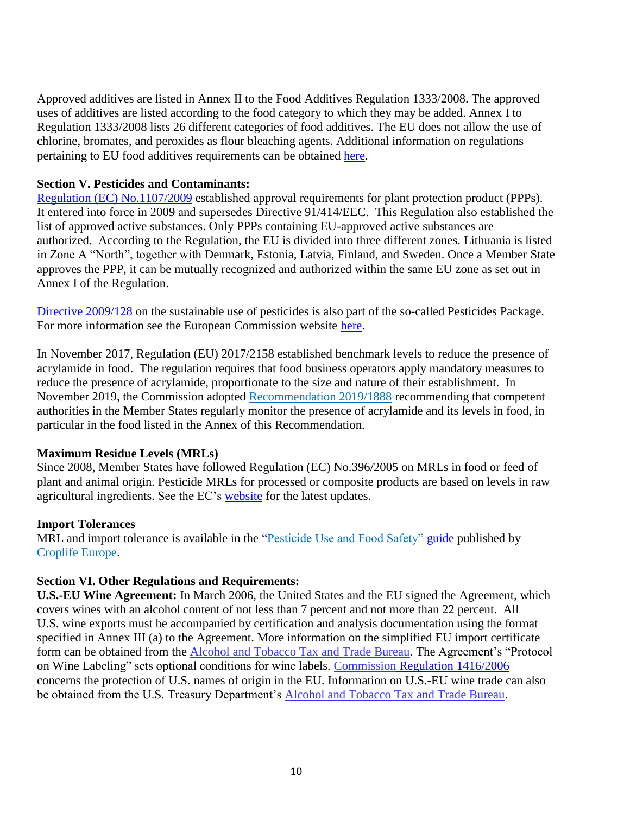Approved additives are listed in Annex II to the Food Additives Regulation 1333/2008. The approved uses of additives are listed according to the food category to which they may be added. Annex I to Regulation 1333/2008 lists 26 different categories of food additives. The EU does not allow the use of chlorine, bromates, and peroxides as flour bleaching agents. Additional information on regulations pertaining to EU food additives requirements can be obtained [here.](http://www.usda-eu.org/trade-with-the-eu/eu-import-rules/food-additives/)

### **Section V. Pesticides and Contaminants:**

[Regulation \(EC\) No.1107/2009](https://eur-lex.europa.eu/legal-content/PL/ALL/?uri=CELEX%3A32009R1107) established approval requirements for plant protection product (PPPs). It entered into force in 2009 and supersedes Directive 91/414/EEC. This Regulation also established the list of approved active substances. Only PPPs containing EU-approved active substances are authorized. According to the Regulation, the EU is divided into three different zones. Lithuania is listed in Zone A "North", together with Denmark, Estonia, Latvia, Finland, and Sweden. Once a Member State approves the PPP, it can be mutually recognized and authorized within the same EU zone as set out in Annex I of the Regulation.

[Directive 2009/128](https://eur-lex.europa.eu/legal-content/EN/TXT/?uri=CELEX:02011R0540-20200803) on the sustainable use of pesticides is also part of the so-called Pesticides Package. For more information see the European Commission website [here.](https://ec.europa.eu/food/plants/pesticides/sustainable-use-pesticides_en)

In November 2017, Regulation (EU) 2017/2158 established benchmark levels to reduce the presence of acrylamide in food. The regulation requires that food business operators apply mandatory measures to reduce the presence of acrylamide, proportionate to the size and nature of their establishment. In November 2019, the Commission adopted [Recommendation 2019/1888](https://eur-lex.europa.eu/legal-content/EN/TXT/?qid=1573548517094&uri=CELEX:32019H1888) recommending that competent authorities in the Member States regularly monitor the presence of acrylamide and its levels in food, in particular in the food listed in the Annex of this Recommendation.

#### **Maximum Residue Levels (MRLs)**

Since 2008, Member States have followed Regulation (EC) No.396/2005 on MRLs in food or feed of plant and animal origin. Pesticide MRLs for processed or composite products are based on levels in raw agricultural ingredients. See the EC's [website](http://ec.europa.eu/food/plant/pesticides/max_residue_levels_en) for the latest updates.

#### **Import Tolerances**

MRL and import tolerance is available in the ["Pesticide Use and Food Safety"](https://croplifeeurope.eu/report/pesticide-use-and-food-safety/?gclid=Cj0KCQjwkIGKBhCxARIsAINMioJ9hdpu0GvtUvNa2HbFIdW5Vv21T_CqJZpoPAGy0pJ6AMYLobkJNycaAiPZEALw_wcB) guide published by [Croplife Europe.](https://croplifeeurope.eu/report/pesticide-use-and-food-safety/?gclid=Cj0KCQjwkIGKBhCxARIsAINMioJ9hdpu0GvtUvNa2HbFIdW5Vv21T_CqJZpoPAGy0pJ6AMYLobkJNycaAiPZEALw_wcB)

## **Section VI. Other Regulations and Requirements:**

**U.S.-EU Wine Agreement:** In March 2006, the United States and the EU signed the Agreement, which covers wines with an alcohol content of not less than 7 percent and not more than 22 percent. All U.S. wine exports must be accompanied by certification and analysis documentation using the format specified in Annex III (a) to the Agreement. More information on the simplified EU import certificate form can be obtained from the Alcohol and Tobacco Tax [and Trade Bureau.](https://www.ttb.gov/itd/international-imports-exports-requirements/) The Agreement's "Protocol on Wine Labeling" sets optional conditions for wine labels. [Commission](https://eur-lex.europa.eu/legal-content/EN/TXT/?qid=1598268479120&uri=CELEX:32006R1416) Regulation 1416/2006 concerns the protection of U.S. names of origin in the EU. Information on U.S.-EU wine trade can also be obtained from the U.S. Treasury Department's Alcohol and Tobacco Tax [and Trade Bureau.](https://www.ttb.gov/itd/international-imports-exports-requirements/)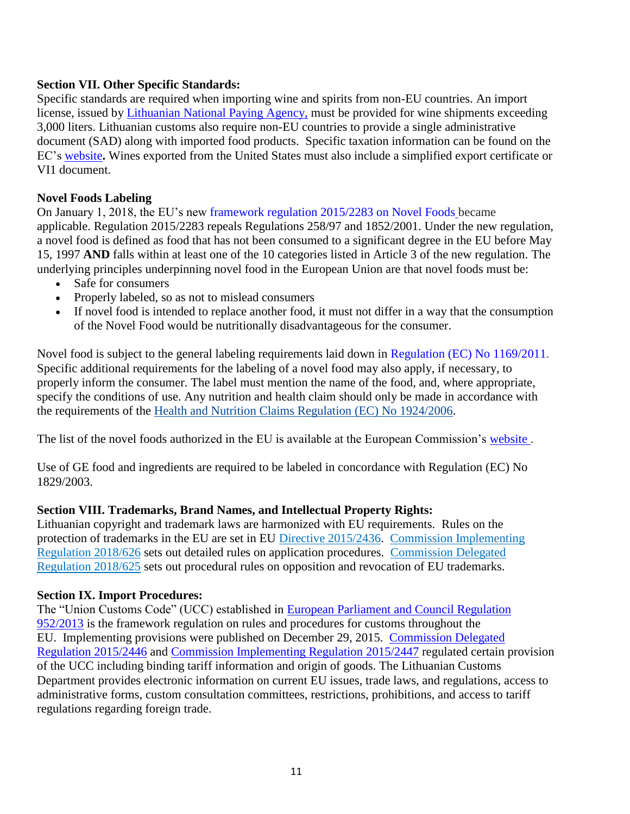## **Section VII. Other Specific Standards:**

Specific standards are required when importing wine and spirits from non-EU countries. An import license, issued by [Lithuanian National Paying Agency,](http://www.nma.lt/index.php?lang=2) must be provided for wine shipments exceeding 3,000 liters. Lithuanian customs also require non-EU countries to provide a single administrative document (SAD) along with imported food products. Specific taxation information can be found on the EC's [website](http://ec.europa.eu/taxation_customs/customs/procedural_aspects/general/sad/index_en.htm)**.** Wines exported from the United States must also include a simplified export certificate or VI1 document.

## **Novel Foods Labeling**

On January 1, 2018, the EU's new [framework regulation 2015/2283 on Novel Foods](https://eur-lex.europa.eu/legal-content/EN/TXT/?uri=CELEX:32015R2283) became applicable. Regulation 2015/2283 repeals Regulations 258/97 and 1852/2001. Under the new regulation, a novel food is defined as food that has not been consumed to a significant degree in the EU before May 15, 1997 **AND** falls within at least one of the 10 categories listed in Article 3 of the new regulation. The underlying principles underpinning novel food in the European Union are that novel foods must be:

- Safe for consumers
- Properly labeled, so as not to mislead consumers
- If novel food is intended to replace another food, it must not differ in a way that the consumption of the Novel Food would be nutritionally disadvantageous for the consumer.

Novel food is subject to the general labeling requirements laid down in [Regulation \(EC\) No 1169/2011.](https://eur-lex.europa.eu/legal-content/EN/TXT/?uri=CELEX:02011R1169-20140219) Specific additional requirements for the labeling of a novel food may also apply, if necessary, to properly inform the consumer. The label must mention the name of the food, and, where appropriate, specify the conditions of use. Any nutrition and health claim should only be made in accordance with the requirements of the [Health and Nutrition Claims Regulation \(EC\) No 1924/2006.](https://eur-lex.europa.eu/legal-content/en/TXT/?uri=CELEX:32006R1924)

The list of the novel foods authorized in the EU is available at the European Commission's [website .](https://ec.europa.eu/food/safety/novel-food/authorisations/union-list-novel-foods_en)

Use of GE food and ingredients are required to be labeled in concordance with Regulation (EC) No 1829/2003.

## **Section VIII. Trademarks, Brand Names, and Intellectual Property Rights:**

Lithuanian copyright and trademark laws are harmonized with EU requirements. Rules on the protection of trademarks in the EU are set in EU [Directive 2015/2436.](http://eur-lex.europa.eu/legal-content/EN/TXT/?qid=1481277221185&uri=CELEX:02015L2436-20151223) [Commission Implementing](https://eur-lex.europa.eu/legal-content/EN/TXT/?uri=CELEX%3A32018R0626&qid=1628524376246)  [Regulation 2018/626](https://eur-lex.europa.eu/legal-content/EN/TXT/?uri=CELEX%3A32018R0626&qid=1628524376246) sets out detailed rules on application procedures. [Commission Delegated](https://eur-lex.europa.eu/legal-content/AUTO/?uri=CELEX:32018R0625&qid=1539165580883&rid=2)  [Regulation 2018/625](https://eur-lex.europa.eu/legal-content/AUTO/?uri=CELEX:32018R0625&qid=1539165580883&rid=2) sets out procedural rules on opposition and revocation of EU trademarks.

## **Section IX. Import Procedures:**

The "Union Customs Code" (UCC) established in European Parliament [and Council Regulation](http://eur-lex.europa.eu/legal-content/EN/TXT/?qid=1508762920937&uri=CELEX:02013R0952-20161224)  [952/2013](http://eur-lex.europa.eu/legal-content/EN/TXT/?qid=1508762920937&uri=CELEX:02013R0952-20161224) is the framework regulation on rules and procedures for customs throughout the EU. Implementing provisions were published on December 29, 2015. [Commission Delegated](https://eur-lex.europa.eu/legal-content/EN/TXT/?uri=CELEX:02015R2446-20200716)  [Regulation](https://eur-lex.europa.eu/legal-content/EN/TXT/?uri=CELEX:02015R2446-20200716) 2015/2446 and [Commission Implementing Regulation](https://eur-lex.europa.eu/legal-content/EN/TXT/?uri=CELEX:02015R2447-20200720) 2015/2447 regulated certain provision of the UCC including binding tariff information and origin of goods. The Lithuanian Customs Department provides electronic information on current EU issues, trade laws, and regulations, access to administrative forms, custom consultation committees, restrictions, prohibitions, and access to tariff regulations regarding foreign trade.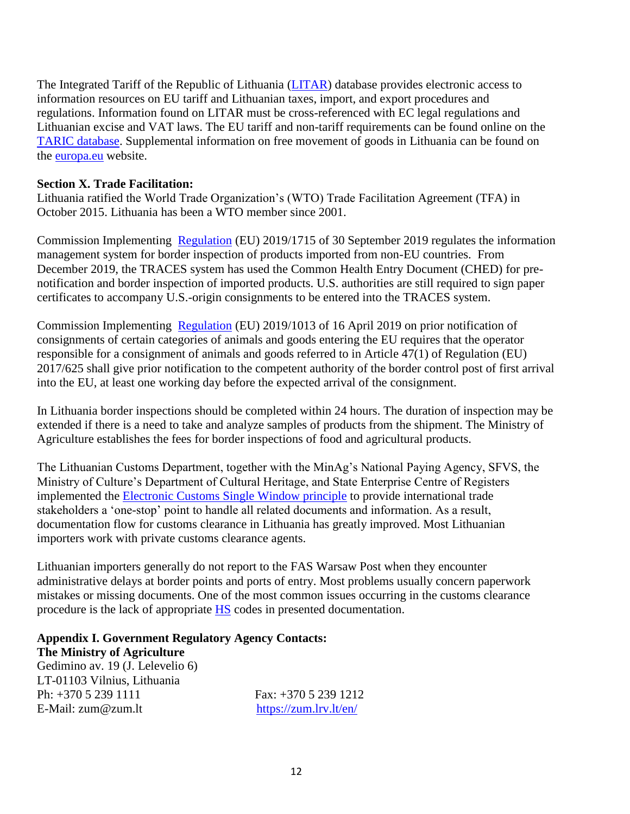The Integrated Tariff of the Republic of Lithuania [\(LITAR\)](https://litarweb.lrmuitine.lt/taric/web/browsetariff_LT) database provides electronic access to information resources on EU tariff and Lithuanian taxes, import, and export procedures and regulations. Information found on LITAR must be cross-referenced with EC legal regulations and Lithuanian excise and VAT laws. The EU tariff and non-tariff requirements can be found online on the [TARIC database.](http://ec.europa.eu/taxation_customs/dds2/taric/taric_consultation.jsp?Lang=en#en) Supplemental information on free movement of goods in Lithuania can be found on the [europa.eu](http://europa.eu/youreurope/business/index_en.htm) website.

## **Section X. Trade Facilitation:**

Lithuania [ratified](https://tfadatabase.org/members/poland) the World Trade Organization's (WTO) Trade Facilitation Agreement (TFA) in October 2015. Lithuania has been a WTO member since 2001.

Commission Implementing [Regulation](https://eur-lex.europa.eu/legal-content/EN/TXT/PDF/?uri=CELEX:02019R1715-20191014&qid=1582020982721&from=EN) (EU) 2019/1715 of 30 September 2019 regulates the information management system for border inspection of products imported from non-EU countries. From December 2019, the TRACES system has used the Common Health Entry Document (CHED) for prenotification and border inspection of imported products. U.S. authorities are still required to sign paper certificates to accompany U.S.-origin consignments to be entered into the TRACES system.

Commission Implementing [Regulation](https://eur-lex.europa.eu/legal-content/EN/TXT/?uri=CELEX%3A32019R1013&qid=1640780628272) (EU) 2019/1013 of 16 April 2019 on prior notification of consignments of certain categories of animals and goods entering the EU requires that the operator responsible for a consignment of animals and goods referred to in Article 47(1) of Regulation (EU) 2017/625 shall give prior notification to the competent authority of the border control post of first arrival into the EU, at least one working day before the expected arrival of the consignment.

In Lithuania border inspections should be completed within 24 hours. The duration of inspection may be extended if there is a need to take and analyze samples of products from the shipment. The Ministry of Agriculture establishes the fees for border inspections of food and agricultural products.

The Lithuanian Customs Department, together with the MinAg's National Paying Agency, SFVS, the Ministry of Culture's Department of Cultural Heritage, and State Enterprise Centre of Registers implemented the [Electronic Customs Single Window principle](https://vls.lrmuitine.lt/vlp/) to provide international trade stakeholders a 'one-stop' point to handle all related documents and information. As a result, documentation flow for customs clearance in Lithuania has greatly improved. Most Lithuanian importers work with private customs clearance agents.

Lithuanian importers generally do not report to the FAS Warsaw Post when they encounter administrative delays at border points and ports of entry. Most problems usually concern paperwork mistakes or missing documents. One of the most common issues occurring in the customs clearance procedure is the lack of appropriate **[HS](https://gcc01.safelinks.protection.outlook.com/?url=https%3A%2F%2Fec.europa.eu%2Ftaxation_customs%2Fbusiness%2Fcalculation-customs-duties%2Fwhat-is-common-customs-tariff%2Fharmonized-system-general-information_en&data=04%7C01%7CRucinskiPP%40state.gov%7C1a525f4697554ae0f1fd08d89dc28339%7C66cf50745afe48d1a691a12b2121f44b%7C0%7C0%7C637432806029694613%7CUnknown%7CTWFpbGZsb3d8eyJWIjoiMC4wLjAwMDAiLCJQIjoiV2luMzIiLCJBTiI6Ik1haWwiLCJXVCI6Mn0%3D%7C1000&sdata=M%2BZ9835lxuDs16V7mSAw8aUt8I%2Fm07s1FbqCQ8wlufY%3D&reserved=0)** codes in presented documentation.

**Appendix I. Government Regulatory Agency Contacts: The Ministry of Agriculture** Gedimino av. 19 (J. Lelevelio 6) LT-01103 Vilnius, Lithuania Ph: +370 5 239 1111 Fax: +370 5 239 1212 E-Mail: zum@zum.lt <https://zum.lrv.lt/en/>